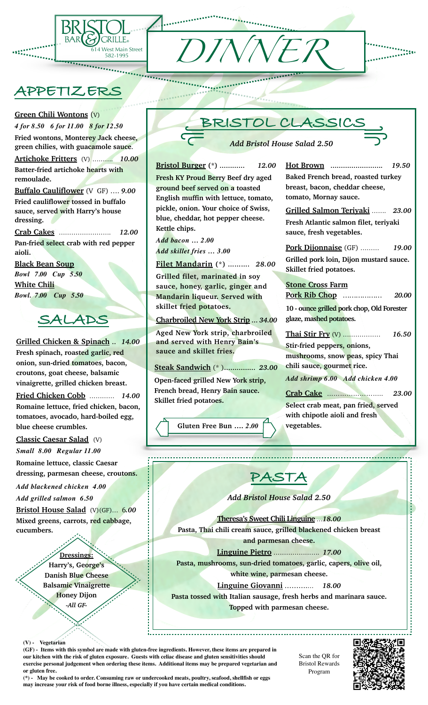

## **APPETIZERS**

*4 for 8.50 6 for 11.00 8 for 12.50*

**Fried wontons, Monterey Jack cheese, green chilies, with guacamole sauce**. **Artichoke Fritters** (V) ………. *10.00* **Batter-fried artichoke hearts with** 

**Buffalo Cauliflower** (V GF) …. *9.00* **Fried cauliflower tossed in buffalo sauce, served with Harry's house** 

**Crab Cakes** ……………………. *12.00* **Pan-fried select crab with red pepper** 

**Green Chili Wontons** (V)

**remoulade.**

**dressing.** 

**Black Bean Soup** *Bowl**7.00 Cup 5.50* 

*Bowl. 7.00 Cup 5.50* 

**White Chili**

**aioli.**

 **SALADS** 

**Grilled Chicken & Spinach** .. *14.00* **Fresh spinach, roasted garlic, red onion, sun-dried tomatoes, bacon, croutons, goat cheese, balsamic vinaigrette, grilled chicken breast.**

**Fried Chicken Cobb** ………… *14.00* **Romaine lettuce, fried chicken, bacon, tomatoes, avocado, hard-boiled egg,** 

**blue cheese crumbles.**

**Classic Caesar Salad** (V) *Small 8.00 Regular 11.00*

**Romaine lettuce, classic Caesar** 

*Add blackened chicken 4.00 Add grilled salmon 6.50*

**dressing, parmesan cheese, croutons.**

**Bristol House Salad** (V)(GF)… 6*.00* **Mixed greens, carrots, red cabbage,** 

**Dressings:**



**Theresa's Sweet Chili Linguine** …*18.00* **Pasta, Thai chili cream sauce, grilled blackened chicken breast and parmesan cheese.**

**Linguine Pietro** …………………. *17.00* **Pasta, mushrooms, sun-dried tomatoes, garlic, capers, olive oil, white wine, parmesan cheese.**

**Linguine Giovanni** ……….… *18.00* **Pasta tossed with Italian sausage, fresh herbs and marinara sauce. Topped with parmesan cheese.** 

**Harry's, George's Danish Blue Cheese Balsamic Vinaigrette Honey Dijon** *-All GF-*

**cucumbers.**

**(GF) - Items with this symbol are made with gluten-free ingredients. However, these items are prepared in our kitchen with the risk of gluten exposure. Guests with celiac disease and gluten sensitivities should exercise personal judgement when ordering these items. Additional items may be prepared vegetarian and or gluten free.** 

Scan the QR for Bristol Rewards Program



**(\*) - May be cooked to order. Consuming raw or undercooked meats, poultry, seafood, shellfish or eggs may increase your risk of food borne illness, especially if you have certain medical conditions.** 

**Pork Dijonnaise** (GF) ……… *19.00* **Grilled pork loin, Dijon mustard sauce. Pork Rib Chop** ……………… *20.00* **10 - ounce grilled pork chop, Old Forester** 

**Thai Stir Fry** (V) ……………… *16.50*

**mushrooms, snow peas, spicy Thai** 

*Add shrimp 6.00 Add chicken 4.00*

**Select crab meat, pan fried, served** 

**(V) - Vegetarian**